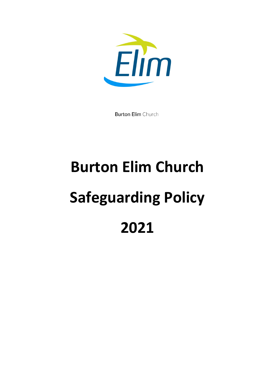

**Burton Elim Church** 

# **Burton Elim Church Safeguarding Policy 2021**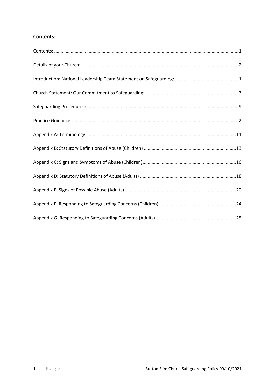# <span id="page-1-0"></span>Contents: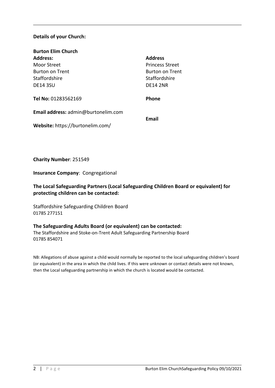## <span id="page-2-0"></span>**Details of your Church:**

| <b>Burton Elim Church</b>           |                        |
|-------------------------------------|------------------------|
| <b>Address:</b>                     | <b>Address</b>         |
| Moor Street                         | <b>Princess Street</b> |
| Burton on Trent                     | Burton on Trent        |
| Staffordshire                       | Staffordshire          |
| <b>DE14 3SU</b>                     | <b>DE14 2NR</b>        |
| Tel No: 01283562169                 | <b>Phone</b>           |
| Email address: admin@burtonelim.com | Email                  |
| Website: https://burtonelim.com/    |                        |

**Charity Number**: 251549

**Insurance Company**: Congregational

**The Local Safeguarding Partners (Local Safeguarding Children Board or equivalent) for protecting children can be contacted:** 

Staffordshire Safeguarding Children Board 01785 277151

#### **The Safeguarding Adults Board (or equivalent) can be contacted:**

The Staffordshire and Stoke-on-Trent Adult Safeguarding Partnership Board 01785 854071

NB: Allegations of abuse against a child would normally be reported to the local safeguarding children's board (or equivalent) in the area in which the child lives. If this were unknown or contact details were not known, then the Local safeguarding partnership in which the church is located would be contacted.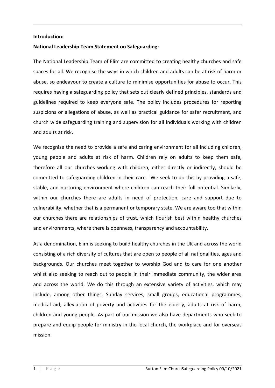#### <span id="page-3-0"></span>**Introduction:**

#### **National Leadership Team Statement on Safeguarding:**

The National Leadership Team of Elim are committed to creating healthy churches and safe spaces for all. We recognise the ways in which children and adults can be at risk of harm or abuse, so endeavour to create a culture to minimise opportunities for abuse to occur. This requires having a safeguarding policy that sets out clearly defined principles, standards and guidelines required to keep everyone safe. The policy includes procedures for reporting suspicions or allegations of abuse, as well as practical guidance for safer recruitment, and church wide safeguarding training and supervision for all individuals working with children and adults at risk**.**

We recognise the need to provide a safe and caring environment for all including children, young people and adults at risk of harm. Children rely on adults to keep them safe, therefore all our churches working with children, either directly or indirectly, should be committed to safeguarding children in their care. We seek to do this by providing a safe, stable, and nurturing environment where children can reach their full potential. Similarly, within our churches there are adults in need of protection, care and support due to vulnerability, whether that is a permanent or temporary state. We are aware too that within our churches there are relationships of trust, which flourish best within healthy churches and environments, where there is openness, transparency and accountability.

As a denomination, Elim is seeking to build healthy churches in the UK and across the world consisting of a rich diversity of cultures that are open to people of all nationalities, ages and backgrounds. Our churches meet together to worship God and to care for one another whilst also seeking to reach out to people in their immediate community, the wider area and across the world. We do this through an extensive variety of activities, which may include, among other things, Sunday services, small groups, educational programmes, medical aid, alleviation of poverty and activities for the elderly, adults at risk of harm, children and young people. As part of our mission we also have departments who seek to prepare and equip people for ministry in the local church, the workplace and for overseas mission.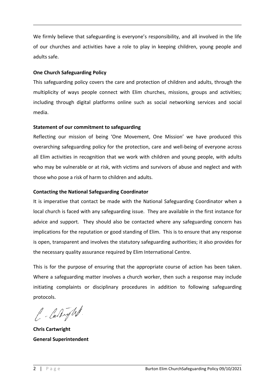We firmly believe that safeguarding is everyone's responsibility, and all involved in the life of our churches and activities have a role to play in keeping children, young people and adults safe.

## **One Church Safeguarding Policy**

This safeguarding policy covers the care and protection of children and adults, through the multiplicity of ways people connect with Elim churches, missions, groups and activities; including through digital platforms online such as social networking services and social media.

## **Statement of our commitment to safeguarding**

Reflecting our mission of being 'One Movement, One Mission' we have produced this overarching safeguarding policy for the protection, care and well-being of everyone across all Elim activities in recognition that we work with children and young people, with adults who may be vulnerable or at risk, with victims and survivors of abuse and neglect and with those who pose a risk of harm to children and adults.

# **Contacting the National Safeguarding Coordinator**

It is imperative that contact be made with the National Safeguarding Coordinator when a local church is faced with any safeguarding issue. They are available in the first instance for advice and support. They should also be contacted where any safeguarding concern has implications for the reputation or good standing of Elim. This is to ensure that any response is open, transparent and involves the statutory safeguarding authorities; it also provides for the necessary quality assurance required by Elim International Centre.

This is for the purpose of ensuring that the appropriate course of action has been taken. Where a safeguarding matter involves a church worker, then such a response may include initiating complaints or disciplinary procedures in addition to following safeguarding protocols.

C. Carlyn.

**Chris Cartwright General Superintendent**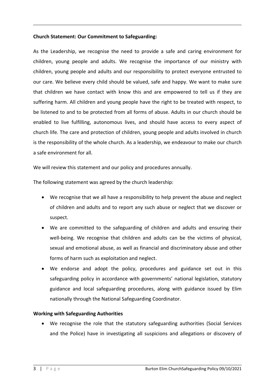## <span id="page-5-0"></span>**Church Statement: Our Commitment to Safeguarding:**

As the Leadership, we recognise the need to provide a safe and caring environment for children, young people and adults. We recognise the importance of our ministry with children, young people and adults and our responsibility to protect everyone entrusted to our care. We believe every child should be valued, safe and happy. We want to make sure that children we have contact with know this and are empowered to tell us if they are suffering harm. All children and young people have the right to be treated with respect, to be listened to and to be protected from all forms of abuse. Adults in our church should be enabled to live fulfilling, autonomous lives, and should have access to every aspect of church life. The care and protection of children, young people and adults involved in church is the responsibility of the whole church. As a leadership, we endeavour to make our church a safe environment for all.

We will review this statement and our policy and procedures annually.

The following statement was agreed by the church leadership:

- We recognise that we all have a responsibility to help prevent the abuse and neglect of children and adults and to report any such abuse or neglect that we discover or suspect.
- We are committed to the safeguarding of children and adults and ensuring their well-being. We recognise that children and adults can be the victims of physical, sexual and emotional abuse, as well as financial and discriminatory abuse and other forms of harm such as exploitation and neglect.
- We endorse and adopt the policy, procedures and guidance set out in this safeguarding policy in accordance with governments' national legislation, statutory guidance and local safeguarding procedures, along with guidance issued by Elim nationally through the National Safeguarding Coordinator.

#### **Working with Safeguarding Authorities**

 We recognise the role that the statutory safeguarding authorities (Social Services and the Police) have in investigating all suspicions and allegations or discovery of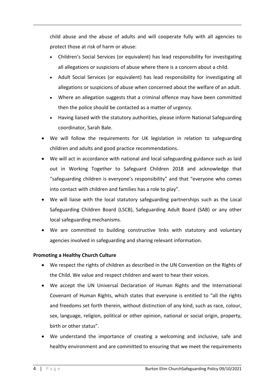child abuse and the abuse of adults and will cooperate fully with all agencies to protect those at risk of harm or abuse:

- Children's Social Services (or equivalent) has lead responsibility for investigating all allegations or suspicions of abuse where there is a concern about a child.
- Adult Social Services (or equivalent) has lead responsibility for investigating all allegations or suspicions of abuse when concerned about the welfare of an adult.
- Where an allegation suggests that a criminal offence may have been committed then the police should be contacted as a matter of urgency.
- Having liaised with the statutory authorities, please inform National Safeguarding coordinator, Sarah Bale.
- We will follow the requirements for UK legislation in relation to safeguarding children and adults and good practice recommendations.
- We will act in accordance with national and local safeguarding guidance such as laid out in Working Together to Safeguard Children 2018 and acknowledge that "safeguarding children is everyone's responsibility" and that "everyone who comes into contact with children and families has a role to play".
- We will liaise with the local statutory safeguarding partnerships such as the Local Safeguarding Children Board (LSCB), Safeguarding Adult Board (SAB) or any other local safeguarding mechanisms.
- We are committed to building constructive links with statutory and voluntary agencies involved in safeguarding and sharing relevant information.

# **Promoting a Healthy Church Culture**

- We respect the rights of children as described in the UN Convention on the Rights of the Child. We value and respect children and want to hear their voices.
- We accept the UN Universal Declaration of Human Rights and the International Covenant of Human Rights, which states that everyone is entitled to "all the rights and freedoms set forth therein, without distinction of any kind, such as race, colour, sex, language, religion, political or other opinion, national or social origin, property, birth or other status".
- We understand the importance of creating a welcoming and inclusive, safe and healthy environment and are committed to ensuring that we meet the requirements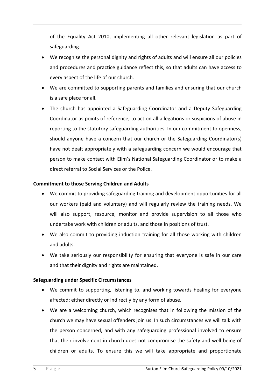of the Equality Act 2010, implementing all other relevant legislation as part of safeguarding.

- We recognise the personal dignity and rights of adults and will ensure all our policies and procedures and practice guidance reflect this, so that adults can have access to every aspect of the life of our church.
- We are committed to supporting parents and families and ensuring that our church is a safe place for all.
- The church has appointed a Safeguarding Coordinator and a Deputy Safeguarding Coordinator as points of reference, to act on all allegations or suspicions of abuse in reporting to the statutory safeguarding authorities. In our commitment to openness, should anyone have a concern that our church or the Safeguarding Coordinator(s) have not dealt appropriately with a safeguarding concern we would encourage that person to make contact with Elim's National Safeguarding Coordinator or to make a direct referral to Social Services or the Police.

## **Commitment to those Serving Children and Adults**

- We commit to providing safeguarding training and development opportunities for all our workers (paid and voluntary) and will regularly review the training needs. We will also support, resource, monitor and provide supervision to all those who undertake work with children or adults, and those in positions of trust.
- We also commit to providing induction training for all those working with children and adults.
- We take seriously our responsibility for ensuring that everyone is safe in our care and that their dignity and rights are maintained.

# **Safeguarding under Specific Circumstances**

- We commit to supporting, listening to, and working towards healing for everyone affected; either directly or indirectly by any form of abuse.
- We are a welcoming church, which recognises that in following the mission of the church we may have sexual offenders join us. In such circumstances we will talk with the person concerned, and with any safeguarding professional involved to ensure that their involvement in church does not compromise the safety and well-being of children or adults. To ensure this we will take appropriate and proportionate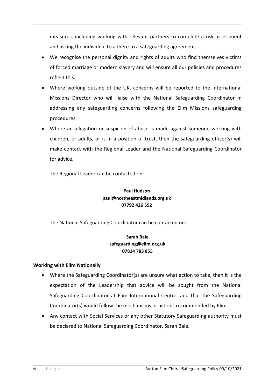measures, including working with relevant partners to complete a risk assessment and asking the individual to adhere to a safeguarding agreement.

- We recognise the personal dignity and rights of adults who find themselves victims of forced marriage or modern slavery and will ensure all our policies and procedures reflect this.
- Where working outside of the UK, concerns will be reported to the International Missions Director who will liaise with the National Safeguarding Coordinator in addressing any safeguarding concerns following the Elim Missions safeguarding procedures.
- Where an allegation or suspicion of abuse is made against someone working with children, or adults, or is in a position of trust, then the safeguarding officer(s) will make contact with the Regional Leader and the National Safeguarding Coordinator for advice.

The Regional Leader can be contacted on:

# **Paul Hudson paul@northeastmidlands.org.uk 07792 426 592**

The National Safeguarding Coordinator can be contacted on:

# **Sarah Bale safeguarding@elim.org.uk 07814 783 855**

# **Working with Elim Nationally**

- Where the Safeguarding Coordinator(s) are unsure what action to take, then it is the expectation of the Leadership that advice will be sought from the National Safeguarding Coordinator at Elim International Centre, and that the Safeguarding Coordinator(s) would follow the mechanisms or actions recommended by Elim.
- Any contact with Social Services or any other Statutory Safeguarding authority must be declared to National Safeguarding Coordinator, Sarah Bale.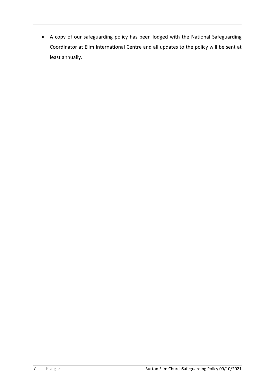A copy of our safeguarding policy has been lodged with the National Safeguarding Coordinator at Elim International Centre and all updates to the policy will be sent at least annually.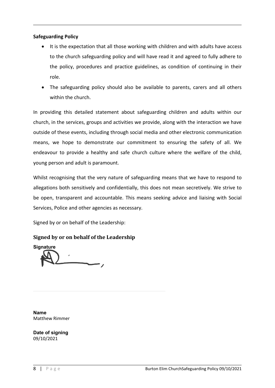# **Safeguarding Policy**

- It is the expectation that all those working with children and with adults have access to the church safeguarding policy and will have read it and agreed to fully adhere to the policy, procedures and practice guidelines, as condition of continuing in their role.
- The safeguarding policy should also be available to parents, carers and all others within the church.

In providing this detailed statement about safeguarding children and adults within our church, in the services, groups and activities we provide, along with the interaction we have outside of these events, including through social media and other electronic communication means, we hope to demonstrate our commitment to ensuring the safety of all. We endeavour to provide a healthy and safe church culture where the welfare of the child, young person and adult is paramount.

Whilst recognising that the very nature of safeguarding means that we have to respond to allegations both sensitively and confidentially, this does not mean secretively. We strive to be open, transparent and accountable. This means seeking advice and liaising with Social Services, Police and other agencies as necessary.

Signed by or on behalf of the Leadership:

**Signed by or on behalf of the Leadership**

**Signature**

**Name** Matthew Rimmer

**Date of signing** 09/10/2021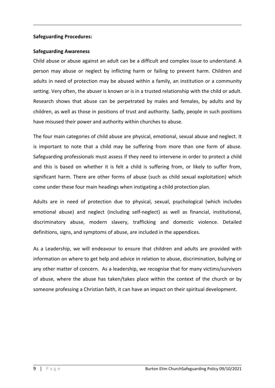#### <span id="page-11-0"></span>**Safeguarding Procedures:**

#### **Safeguarding Awareness**

Child abuse or abuse against an adult can be a difficult and complex issue to understand. A person may abuse or neglect by inflicting harm or failing to prevent harm. Children and adults in need of protection may be abused within a family, an institution or a community setting. Very often, the abuser is known or is in a trusted relationship with the child or adult. Research shows that abuse can be perpetrated by males and females, by adults and by children, as well as those in positions of trust and authority. Sadly, people in such positions have misused their power and authority within churches to abuse.

The four main categories of child abuse are physical, emotional, sexual abuse and neglect. It is important to note that a child may be suffering from more than one form of abuse. Safeguarding professionals must assess if they need to intervene in order to protect a child and this is based on whether it is felt a child is suffering from, or likely to suffer from, significant harm. There are other forms of abuse (such as child sexual exploitation) which come under these four main headings when instigating a child protection plan.

Adults are in need of protection due to physical, sexual, psychological (which includes emotional abuse) and neglect (including self-neglect) as well as financial, institutional, discriminatory abuse, modern slavery, trafficking and domestic violence. Detailed definitions, signs, and symptoms of abuse, are included in the appendices.

As a Leadership, we will endeavour to ensure that children and adults are provided with information on where to get help and advice in relation to abuse, discrimination, bullying or any other matter of concern. As a leadership, we recognise that for many victims/survivors of abuse, where the abuse has taken/takes place within the context of the church or by someone professing a Christian faith, it can have an impact on their spiritual development.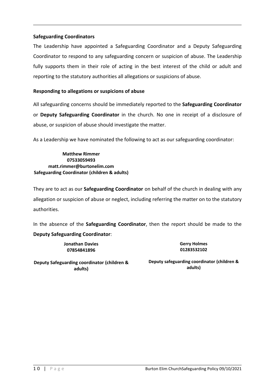## **Safeguarding Coordinators**

The Leadership have appointed a Safeguarding Coordinator and a Deputy Safeguarding Coordinator to respond to any safeguarding concern or suspicion of abuse. The Leadership fully supports them in their role of acting in the best interest of the child or adult and reporting to the statutory authorities all allegations or suspicions of abuse.

## **Responding to allegations or suspicions of abuse**

All safeguarding concerns should be immediately reported to the **Safeguarding Coordinator** or **Deputy Safeguarding Coordinator** in the church. No one in receipt of a disclosure of abuse, or suspicion of abuse should investigate the matter.

As a Leadership we have nominated the following to act as our safeguarding coordinator:

**Matthew Rimmer 07533059493 matt.rimmer@burtonelim.com Safeguarding Coordinator (children & adults)**

They are to act as our **Safeguarding Coordinator** on behalf of the church in dealing with any allegation or suspicion of abuse or neglect, including referring the matter on to the statutory authorities.

In the absence of the **Safeguarding Coordinator**, then the report should be made to the **Deputy Safeguarding Coordinator**:

> **Jonathan Davies 07854841896**

**Gerry Holmes 01283532102**

**Deputy Safeguarding coordinator (children & adults)**

**Deputy safeguarding coordinator (children & adults)**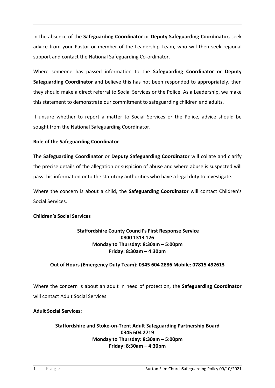In the absence of the **Safeguarding Coordinator** or **Deputy Safeguarding Coordinator,** seek advice from your Pastor or member of the Leadership Team, who will then seek regional support and contact the National Safeguarding Co-ordinator.

Where someone has passed information to the **Safeguarding Coordinator** or **Deputy Safeguarding Coordinator** and believe this has not been responded to appropriately, then they should make a direct referral to Social Services or the Police. As a Leadership, we make this statement to demonstrate our commitment to safeguarding children and adults.

If unsure whether to report a matter to Social Services or the Police, advice should be sought from the National Safeguarding Coordinator.

# **Role of the Safeguarding Coordinator**

The **Safeguarding Coordinator** or **Deputy Safeguarding Coordinator** will collate and clarify the precise details of the allegation or suspicion of abuse and where abuse is suspected will pass this information onto the statutory authorities who have a legal duty to investigate.

Where the concern is about a child, the **Safeguarding Coordinator** will contact Children's Social Services.

# **Children's Social Services**

# **Staffordshire County Council's First Response Service 0800 1313 126 Monday to Thursday: 8:30am – 5:00pm Friday: 8:30am – 4:30pm**

# **Out of Hours (Emergency Duty Team): 0345 604 2886 Mobile: 07815 492613**

Where the concern is about an adult in need of protection, the **Safeguarding Coordinator** will contact Adult Social Services.

# **Adult Social Services:**

# **Staffordshire and Stoke-on-Trent Adult Safeguarding Partnership Board 0345 604 2719 Monday to Thursday: 8:30am – 5:00pm Friday: 8:30am – 4:30pm**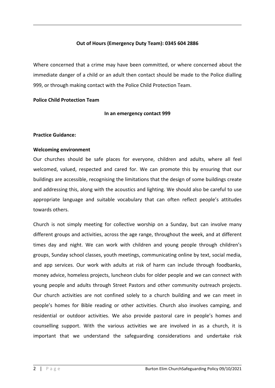#### **Out of Hours (Emergency Duty Team): 0345 604 2886**

Where concerned that a crime may have been committed, or where concerned about the immediate danger of a child or an adult then contact should be made to the Police dialling 999, or through making contact with the Police Child Protection Team.

#### **Police Child Protection Team**

#### **In an emergency contact 999**

#### <span id="page-14-0"></span>**Practice Guidance:**

#### **Welcoming environment**

Our churches should be safe places for everyone, children and adults, where all feel welcomed, valued, respected and cared for. We can promote this by ensuring that our buildings are accessible, recognising the limitations that the design of some buildings create and addressing this, along with the acoustics and lighting. We should also be careful to use appropriate language and suitable vocabulary that can often reflect people's attitudes towards others.

Church is not simply meeting for collective worship on a Sunday, but can involve many different groups and activities, across the age range, throughout the week, and at different times day and night. We can work with children and young people through children's groups, Sunday school classes, youth meetings, communicating online by text, social media, and app services. Our work with adults at risk of harm can include through foodbanks, money advice, homeless projects, luncheon clubs for older people and we can connect with young people and adults through Street Pastors and other community outreach projects. Our church activities are not confined solely to a church building and we can meet in people's homes for Bible reading or other activities. Church also involves camping, and residential or outdoor activities. We also provide pastoral care in people's homes and counselling support. With the various activities we are involved in as a church, it is important that we understand the safeguarding considerations and undertake risk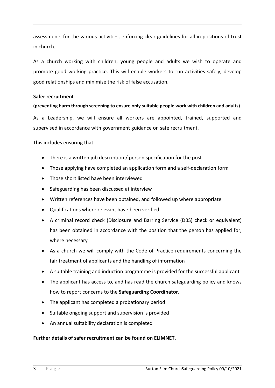assessments for the various activities, enforcing clear guidelines for all in positions of trust in church.

As a church working with children, young people and adults we wish to operate and promote good working practice. This will enable workers to run activities safely, develop good relationships and minimise the risk of false accusation.

#### **Safer recruitment**

# **(preventing harm through screening to ensure only suitable people work with children and adults)**

As a Leadership, we will ensure all workers are appointed, trained, supported and supervised in accordance with government guidance on safe recruitment.

This includes ensuring that:

- There is a written job description / person specification for the post
- Those applying have completed an application form and a self-declaration form
- Those short listed have been interviewed
- Safeguarding has been discussed at interview
- Written references have been obtained, and followed up where appropriate
- Qualifications where relevant have been verified
- A criminal record check (Disclosure and Barring Service (DBS) check or equivalent) has been obtained in accordance with the position that the person has applied for, where necessary
- As a church we will comply with the Code of Practice requirements concerning the fair treatment of applicants and the handling of information
- A suitable training and induction programme is provided for the successful applicant
- The applicant has access to, and has read the church safeguarding policy and knows how to report concerns to the **Safeguarding Coordinator**.
- The applicant has completed a probationary period
- Suitable ongoing support and supervision is provided
- An annual suitability declaration is completed

# **Further details of safer recruitment can be found on ELIMNET.**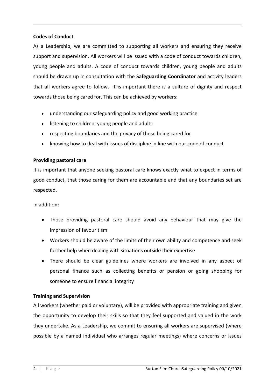## **Codes of Conduct**

As a Leadership, we are committed to supporting all workers and ensuring they receive support and supervision. All workers will be issued with a code of conduct towards children, young people and adults. A code of conduct towards children, young people and adults should be drawn up in consultation with the **Safeguarding Coordinator** and activity leaders that all workers agree to follow. It is important there is a culture of dignity and respect towards those being cared for. This can be achieved by workers:

- understanding our safeguarding policy and good working practice
- listening to children, young people and adults
- respecting boundaries and the privacy of those being cared for
- knowing how to deal with issues of discipline in line with our code of conduct

## **Providing pastoral care**

It is important that anyone seeking pastoral care knows exactly what to expect in terms of good conduct, that those caring for them are accountable and that any boundaries set are respected.

In addition:

- Those providing pastoral care should avoid any behaviour that may give the impression of favouritism
- Workers should be aware of the limits of their own ability and competence and seek further help when dealing with situations outside their expertise
- There should be clear guidelines where workers are involved in any aspect of personal finance such as collecting benefits or pension or going shopping for someone to ensure financial integrity

# **Training and Supervision**

All workers (whether paid or voluntary), will be provided with appropriate training and given the opportunity to develop their skills so that they feel supported and valued in the work they undertake. As a Leadership, we commit to ensuring all workers are supervised (where possible by a named individual who arranges regular meetings) where concerns or issues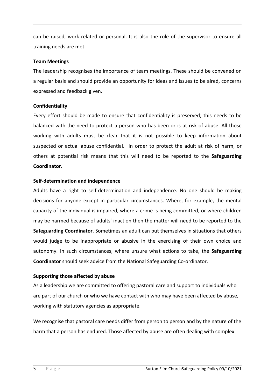can be raised, work related or personal. It is also the role of the supervisor to ensure all training needs are met.

#### **Team Meetings**

The leadership recognises the importance of team meetings. These should be convened on a regular basis and should provide an opportunity for ideas and issues to be aired, concerns expressed and feedback given.

## **Confidentiality**

Every effort should be made to ensure that confidentiality is preserved; this needs to be balanced with the need to protect a person who has been or is at risk of abuse. All those working with adults must be clear that it is not possible to keep information about suspected or actual abuse confidential. In order to protect the adult at risk of harm, or others at potential risk means that this will need to be reported to the **Safeguarding Coordinator.**

## **Self-determination and independence**

Adults have a right to self-determination and independence. No one should be making decisions for anyone except in particular circumstances. Where, for example, the mental capacity of the individual is impaired, where a crime is being committed, or where children may be harmed because of adults' inaction then the matter will need to be reported to the **Safeguarding Coordinator**. Sometimes an adult can put themselves in situations that others would judge to be inappropriate or abusive in the exercising of their own choice and autonomy. In such circumstances, where unsure what actions to take, the **Safeguarding Coordinator** should seek advice from the National Safeguarding Co-ordinator.

# **Supporting those affected by abuse**

As a leadership we are committed to offering pastoral care and support to individuals who are part of our church or who we have contact with who may have been affected by abuse, working with statutory agencies as appropriate.

We recognise that pastoral care needs differ from person to person and by the nature of the harm that a person has endured. Those affected by abuse are often dealing with complex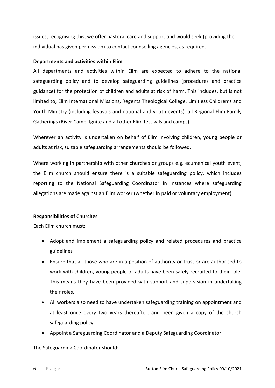issues, recognising this, we offer pastoral care and support and would seek (providing the individual has given permission) to contact counselling agencies, as required.

# **Departments and activities within Elim**

All departments and activities within Elim are expected to adhere to the national safeguarding policy and to develop safeguarding guidelines (procedures and practice guidance) for the protection of children and adults at risk of harm. This includes, but is not limited to; Elim International Missions, Regents Theological College, Limitless Children's and Youth Ministry (including festivals and national and youth events), all Regional Elim Family Gatherings (River Camp, Ignite and all other Elim festivals and camps).

Wherever an activity is undertaken on behalf of Elim involving children, young people or adults at risk, suitable safeguarding arrangements should be followed.

Where working in partnership with other churches or groups e.g. ecumenical youth event, the Elim church should ensure there is a suitable safeguarding policy, which includes reporting to the National Safeguarding Coordinator in instances where safeguarding allegations are made against an Elim worker (whether in paid or voluntary employment).

# **Responsibilities of Churches**

Each Elim church must:

- Adopt and implement a safeguarding policy and related procedures and practice guidelines
- Ensure that all those who are in a position of authority or trust or are authorised to work with children, young people or adults have been safely recruited to their role. This means they have been provided with support and supervision in undertaking their roles.
- All workers also need to have undertaken safeguarding training on appointment and at least once every two years thereafter, and been given a copy of the church safeguarding policy.
- Appoint a Safeguarding Coordinator and a Deputy Safeguarding Coordinator

The Safeguarding Coordinator should: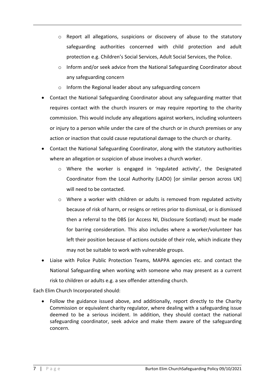- $\circ$  Report all allegations, suspicions or discovery of abuse to the statutory safeguarding authorities concerned with child protection and adult protection e.g. Children's Social Services, Adult Social Services, the Police.
- $\circ$  Inform and/or seek advice from the National Safeguarding Coordinator about any safeguarding concern
- o Inform the Regional leader about any safeguarding concern
- Contact the National Safeguarding Coordinator about any safeguarding matter that requires contact with the church insurers or may require reporting to the charity commission. This would include any allegations against workers, including volunteers or injury to a person while under the care of the church or in church premises or any action or inaction that could cause reputational damage to the church or charity.
- Contact the National Safeguarding Coordinator, along with the statutory authorities where an allegation or suspicion of abuse involves a church worker.
	- $\circ$  Where the worker is engaged in 'regulated activity', the Designated Coordinator from the Local Authority (LADO) [or similar person across UK] will need to be contacted.
	- $\circ$  Where a worker with children or adults is removed from regulated activity because of risk of harm, or resigns or retires prior to dismissal, or is dismissed then a referral to the DBS (or Access NI, Disclosure Scotland) must be made for barring consideration. This also includes where a worker/volunteer has left their position because of actions outside of their role, which indicate they may not be suitable to work with vulnerable groups.
- Liaise with Police Public Protection Teams, MAPPA agencies etc. and contact the National Safeguarding when working with someone who may present as a current risk to children or adults e.g. a sex offender attending church.

Each Elim Church Incorporated should:

 Follow the guidance issued above, and additionally, report directly to the Charity Commission or equivalent charity regulator, where dealing with a safeguarding issue deemed to be a serious incident. In addition, they should contact the national safeguarding coordinator, seek advice and make them aware of the safeguarding concern.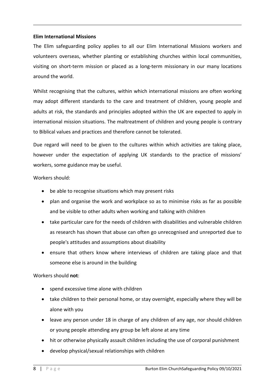#### **Elim International Missions**

The Elim safeguarding policy applies to all our Elim International Missions workers and volunteers overseas, whether planting or establishing churches within local communities, visiting on short-term mission or placed as a long-term missionary in our many locations around the world.

Whilst recognising that the cultures, within which international missions are often working may adopt different standards to the care and treatment of children, young people and adults at risk, the standards and principles adopted within the UK are expected to apply in international mission situations. The maltreatment of children and young people is contrary to Biblical values and practices and therefore cannot be tolerated.

Due regard will need to be given to the cultures within which activities are taking place, however under the expectation of applying UK standards to the practice of missions' workers, some guidance may be useful.

Workers should:

- be able to recognise situations which may present risks
- plan and organise the work and workplace so as to minimise risks as far as possible and be visible to other adults when working and talking with children
- take particular care for the needs of children with disabilities and vulnerable children as research has shown that abuse can often go unrecognised and unreported due to people's attitudes and assumptions about disability
- ensure that others know where interviews of children are taking place and that someone else is around in the building

Workers should **not**:

- spend excessive time alone with children
- take children to their personal home, or stay overnight, especially where they will be alone with you
- leave any person under 18 in charge of any children of any age, nor should children or young people attending any group be left alone at any time
- hit or otherwise physically assault children including the use of corporal punishment
- develop physical/sexual relationships with children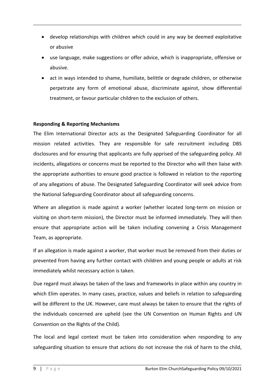- develop relationships with children which could in any way be deemed exploitative or abusive
- use language, make suggestions or offer advice, which is inappropriate, offensive or abusive.
- act in ways intended to shame, humiliate, belittle or degrade children, or otherwise perpetrate any form of emotional abuse, discriminate against, show differential treatment, or favour particular children to the exclusion of others.

# **Responding & Reporting Mechanisms**

The Elim International Director acts as the Designated Safeguarding Coordinator for all mission related activities. They are responsible for safe recruitment including DBS disclosures and for ensuring that applicants are fully apprised of the safeguarding policy. All incidents, allegations or concerns must be reported to the Director who will then liaise with the appropriate authorities to ensure good practice is followed in relation to the reporting of any allegations of abuse. The Designated Safeguarding Coordinator will seek advice from the National Safeguarding Coordinator about all safeguarding concerns.

Where an allegation is made against a worker (whether located long-term on mission or visiting on short-term mission), the Director must be informed immediately. They will then ensure that appropriate action will be taken including convening a Crisis Management Team, as appropriate.

If an allegation is made against a worker, that worker must be removed from their duties or prevented from having any further contact with children and young people or adults at risk immediately whilst necessary action is taken.

Due regard must always be taken of the laws and frameworks in place within any country in which Elim operates. In many cases, practice, values and beliefs in relation to safeguarding will be different to the UK. However, care must always be taken to ensure that the rights of the individuals concerned are upheld (see the UN Convention on Human Rights and UN Convention on the Rights of the Child).

The local and legal context must be taken into consideration when responding to any safeguarding situation to ensure that actions do not increase the risk of harm to the child,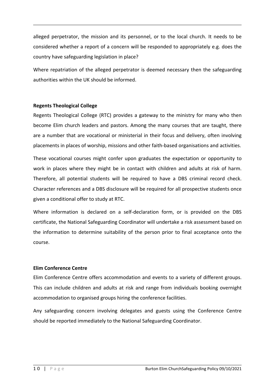alleged perpetrator, the mission and its personnel, or to the local church. It needs to be considered whether a report of a concern will be responded to appropriately e.g. does the country have safeguarding legislation in place?

Where repatriation of the alleged perpetrator is deemed necessary then the safeguarding authorities within the UK should be informed.

## **Regents Theological College**

Regents Theological College (RTC) provides a gateway to the ministry for many who then become Elim church leaders and pastors. Among the many courses that are taught, there are a number that are vocational or ministerial in their focus and delivery, often involving placements in places of worship, missions and other faith-based organisations and activities.

These vocational courses might confer upon graduates the expectation or opportunity to work in places where they might be in contact with children and adults at risk of harm. Therefore, all potential students will be required to have a DBS criminal record check. Character references and a DBS disclosure will be required for all prospective students once given a conditional offer to study at RTC.

Where information is declared on a self-declaration form, or is provided on the DBS certificate, the National Safeguarding Coordinator will undertake a risk assessment based on the information to determine suitability of the person prior to final acceptance onto the course.

# **Elim Conference Centre**

Elim Conference Centre offers accommodation and events to a variety of different groups. This can include children and adults at risk and range from individuals booking overnight accommodation to organised groups hiring the conference facilities.

Any safeguarding concern involving delegates and guests using the Conference Centre should be reported immediately to the National Safeguarding Coordinator.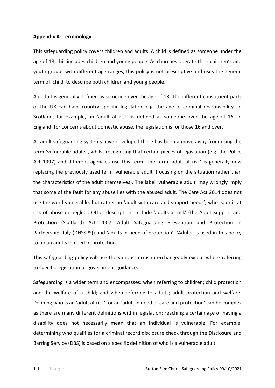# <span id="page-23-0"></span>**Appendix A: Terminology**

This safeguarding policy covers children and adults. A child is defined as someone under the age of 18; this includes children and young people. As churches operate their children's and youth groups with different age ranges, this policy is not prescriptive and uses the general term of 'child' to describe both children and young people.

An adult is generally defined as someone over the age of 18. The different constituent parts of the UK can have country specific legislation e.g. the age of criminal responsibility. In Scotland, for example, an 'adult at risk' is defined as someone over the age of 16. In England, for concerns about domestic abuse, the legislation is for those 16 and over.

As adult safeguarding systems have developed there has been a move away from using the term 'vulnerable adults', whilst recognising that certain pieces of legislation (e.g. the Police Act 1997) and different agencies use this term. The term 'adult at risk' is generally now replacing the previously used term 'vulnerable adult' (focusing on the situation rather than the characteristics of the adult themselves). The label 'vulnerable adult' may wrongly imply that some of the fault for any abuse lies with the abused adult. The Care Act 2014 does not use the word vulnerable, but rather an 'adult with care and support needs', who is, or is at risk of abuse or neglect. Other descriptions include 'adults at risk' (the Adult Support and Protection (Scotland) Act 2007, Adult Safeguarding Prevention and Protection in Partnership, July (DHSSPS)) and 'adults in need of protection'. 'Adults' is used in this policy to mean adults in need of protection.

This safeguarding policy will use the various terms interchangeably except where referring to specific legislation or government guidance.

Safeguarding is a wider term and encompasses: when referring to children; child protection and the welfare of a child; and when referring to adults; adult protection and welfare. Defining who is an 'adult at risk', or an 'adult in need of care and protection' can be complex as there are many different definitions within legislation; reaching a certain age or having a disability does not necessarily mean that an individual is vulnerable. For example, determining who qualifies for a criminal record disclosure check through the Disclosure and Barring Service (DBS) is based on a specific definition of who is a vulnerable adult.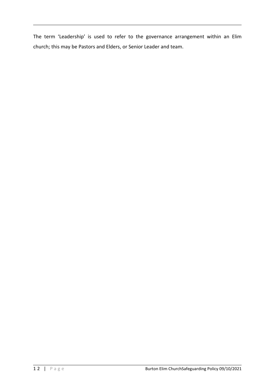The term 'Leadership' is used to refer to the governance arrangement within an Elim church; this may be Pastors and Elders, or Senior Leader and team.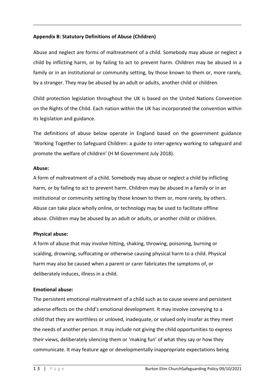# <span id="page-25-0"></span>**Appendix B: Statutory Definitions of Abuse (Children)**

Abuse and neglect are forms of maltreatment of a child. Somebody may abuse or neglect a child by inflicting harm, or by failing to act to prevent harm. Children may be abused in a family or in an institutional or community setting, by those known to them or, more rarely, by a stranger. They may be abused by an adult or adults, another child or children.

Child protection legislation throughout the UK is based on the United Nations Convention on the Rights of the Child. Each nation within the UK has incorporated the convention within its legislation and guidance.

The definitions of abuse below operate in England based on the government guidance 'Working Together to Safeguard Children: a guide to inter-agency working to safeguard and promote the welfare of children' (H M Government July 2018).

#### **Abuse:**

A form of maltreatment of a child. Somebody may abuse or neglect a child by inflicting harm, or by failing to act to prevent harm. Children may be abused in a family or in an institutional or community setting by those known to them or, more rarely, by others. Abuse can take place wholly online, or technology may be used to facilitate offline abuse. Children may be abused by an adult or adults, or another child or children.

#### **Physical abuse:**

A form of abuse that may involve hitting, shaking, throwing, poisoning, burning or scalding, drowning, suffocating or otherwise causing physical harm to a child. Physical harm may also be caused when a parent or carer fabricates the symptoms of, or deliberately induces, illness in a child.

# **Emotional abuse:**

The persistent emotional maltreatment of a child such as to cause severe and persistent adverse effects on the child's emotional development. It may involve conveying to a child that they are worthless or unloved, inadequate, or valued only insofar as they meet the needs of another person. It may include not giving the child opportunities to express their views, deliberately silencing them or 'making fun' of what they say or how they communicate. It may feature age or developmentally inappropriate expectations being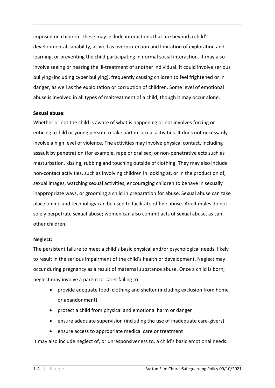imposed on children. These may include interactions that are beyond a child's developmental capability, as well as overprotection and limitation of exploration and learning, or preventing the child participating in normal social interaction. It may also involve seeing or hearing the ill-treatment of another individual. It could involve serious bullying (including cyber bullying), frequently causing children to feel frightened or in danger, as well as the exploitation or corruption of children. Some level of emotional abuse is involved in all types of maltreatment of a child, though it may occur alone.

#### **Sexual abuse:**

Whether or not the child is aware of what is happening or not involves forcing or enticing a child or young person to take part in sexual activities. It does not necessarily involve a high level of violence. The activities may involve physical contact, including assault by penetration (for example, rape or oral sex) or non-penetrative acts such as masturbation, kissing, rubbing and touching outside of clothing. They may also include non-contact activities, such as involving children in looking at, or in the production of, sexual images, watching sexual activities, encouraging children to behave in sexually inappropriate ways, or grooming a child in preparation for abuse. Sexual abuse can take place online and technology can be used to facilitate offline abuse. Adult males do not solely perpetrate sexual abuse; women can also commit acts of sexual abuse, as can other children.

#### **Neglect:**

The persistent failure to meet a child's basic physical and/or psychological needs, likely to result in the serious impairment of the child's health or development. Neglect may occur during pregnancy as a result of maternal substance abuse. Once a child is born, neglect may involve a parent or carer failing to:

- provide adequate food, clothing and shelter (including exclusion from home or abandonment)
- protect a child from physical and emotional harm or danger
- ensure adequate supervision (including the use of inadequate care-givers)
- ensure access to appropriate medical care or treatment

It may also include neglect of, or unresponsiveness to, a child's basic emotional needs.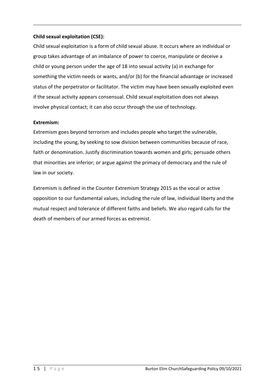# **Child sexual exploitation (CSE):**

Child sexual exploitation is a form of child sexual abuse. It occurs where an individual or group takes advantage of an imbalance of power to coerce, manipulate or deceive a child or young person under the age of 18 into sexual activity (a) in exchange for something the victim needs or wants, and/or (b) for the financial advantage or increased status of the perpetrator or facilitator. The victim may have been sexually exploited even if the sexual activity appears consensual. Child sexual exploitation does not always involve physical contact; it can also occur through the use of technology.

# **Extremism:**

Extremism goes beyond terrorism and includes people who target the vulnerable, including the young, by seeking to sow division between communities because of race, faith or denomination. Justify discrimination towards women and girls; persuade others that minorities are inferior; or argue against the primacy of democracy and the rule of law in our society.

Extremism is defined in the Counter Extremism Strategy 2015 as the vocal or active opposition to our fundamental values, including the rule of law, individual liberty and the mutual respect and tolerance of different faiths and beliefs. We also regard calls for the death of members of our armed forces as extremist.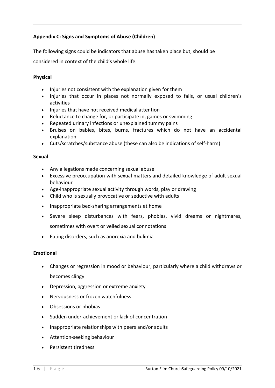# <span id="page-28-0"></span>**Appendix C: Signs and Symptoms of Abuse (Children)**

The following signs could be indicators that abuse has taken place but, should be considered in context of the child's whole life.

# **Physical**

- Injuries not consistent with the explanation given for them
- Injuries that occur in places not normally exposed to falls, or usual children's activities
- Injuries that have not received medical attention
- Reluctance to change for, or participate in, games or swimming
- Repeated urinary infections or unexplained tummy pains
- Bruises on babies, bites, burns, fractures which do not have an accidental explanation
- Cuts/scratches/substance abuse (these can also be indications of self-harm)

#### **Sexual**

- Any allegations made concerning sexual abuse
- Excessive preoccupation with sexual matters and detailed knowledge of adult sexual behaviour
- Age-inappropriate sexual activity through words, play or drawing
- Child who is sexually provocative or seductive with adults
- Inappropriate bed-sharing arrangements at home
- Severe sleep disturbances with fears, phobias, vivid dreams or nightmares, sometimes with overt or veiled sexual connotations
- Eating disorders, such as anorexia and bulimia

#### **Emotional**

- Changes or regression in mood or behaviour, particularly where a child withdraws or becomes clingy
- Depression, aggression or extreme anxiety
- Nervousness or frozen watchfulness
- Obsessions or phobias
- Sudden under-achievement or lack of concentration
- Inappropriate relationships with peers and/or adults
- Attention-seeking behaviour
- Persistent tiredness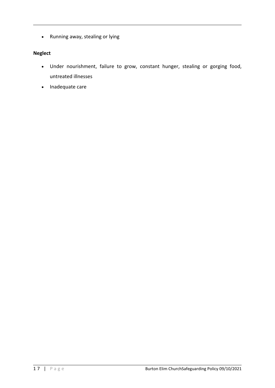Running away, stealing or lying

# **Neglect**

- Under nourishment, failure to grow, constant hunger, stealing or gorging food, untreated illnesses
- Inadequate care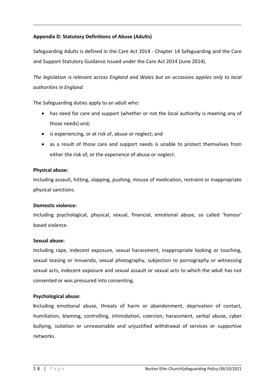# <span id="page-30-0"></span>**Appendix D: Statutory Definitions of Abuse (Adults)**

Safeguarding Adults is defined in the Care Act 2014 - Chapter 14 Safeguarding and the Care and Support Statutory Guidance Issued under the Care Act 2014 (June 2014).

*The legislation is relevant across England and Wales but on occasions applies only to local authorities in England*.

The Safeguarding duties apply to an adult who:

- has need for care and support (whether or not the local authority is meeting any of those needs) and;
- is experiencing, or at risk of, abuse or neglect; and
- as a result of those care and support needs is unable to protect themselves from either the risk of, or the experience of abuse or neglect.

#### **Physical abuse:**

Including assault, hitting, slapping, pushing, misuse of medication, restraint or inappropriate physical sanctions.

#### **Domestic violence:**

Including psychological, physical, sexual, financial, emotional abuse, so called 'honour' based violence.

#### **Sexual abuse:**

Including rape, indecent exposure, sexual harassment, inappropriate looking or touching, sexual teasing or innuendo, sexual photography, subjection to pornography or witnessing sexual acts, indecent exposure and sexual assault or sexual acts to which the adult has not consented or was pressured into consenting.

#### **Psychological abuse:**

**I**ncluding emotional abuse, threats of harm or abandonment, deprivation of contact, humiliation, blaming, controlling, intimidation, coercion, harassment, verbal abuse, cyber bullying, isolation or unreasonable and unjustified withdrawal of services or supportive networks.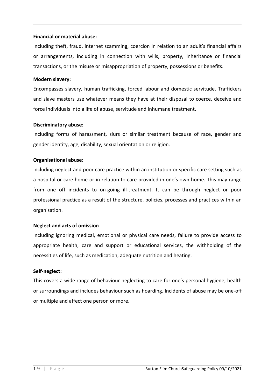#### **Financial or material abuse:**

Including theft, fraud, internet scamming, coercion in relation to an adult's financial affairs or arrangements, including in connection with wills, property, inheritance or financial transactions, or the misuse or misappropriation of property, possessions or benefits.

## **Modern slavery:**

Encompasses slavery, human trafficking, forced labour and domestic servitude. Traffickers and slave masters use whatever means they have at their disposal to coerce, deceive and force individuals into a life of abuse, servitude and inhumane treatment.

## **Discriminatory abuse:**

Including forms of harassment, slurs or similar treatment because of race, gender and gender identity, age, disability, sexual orientation or religion.

## **Organisational abuse:**

Including neglect and poor care practice within an institution or specific care setting such as a hospital or care home or in relation to care provided in one's own home. This may range from one off incidents to on-going ill-treatment. It can be through neglect or poor professional practice as a result of the structure, policies, processes and practices within an organisation.

# **Neglect and acts of omission**

Including ignoring medical, emotional or physical care needs, failure to provide access to appropriate health, care and support or educational services, the withholding of the necessities of life, such as medication, adequate nutrition and heating.

#### **Self-neglect:**

This covers a wide range of behaviour neglecting to care for one's personal hygiene, health or surroundings and includes behaviour such as hoarding. Incidents of abuse may be one-off or multiple and affect one person or more.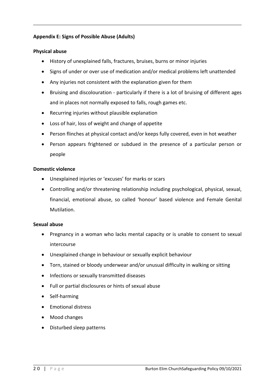# <span id="page-32-0"></span>**Appendix E: Signs of Possible Abuse (Adults)**

#### **Physical abuse**

- History of unexplained falls, fractures, bruises, burns or minor injuries
- Signs of under or over use of medication and/or medical problems left unattended
- Any injuries not consistent with the explanation given for them
- Bruising and discolouration particularly if there is a lot of bruising of different ages and in places not normally exposed to falls, rough games etc.
- Recurring injuries without plausible explanation
- Loss of hair, loss of weight and change of appetite
- Person flinches at physical contact and/or keeps fully covered, even in hot weather
- Person appears frightened or subdued in the presence of a particular person or people

#### **Domestic violence**

- Unexplained injuries or 'excuses' for marks or scars
- Controlling and/or threatening relationship including psychological, physical, sexual, financial, emotional abuse, so called 'honour' based violence and Female Genital Mutilation.

#### **Sexual abuse**

- Pregnancy in a woman who lacks mental capacity or is unable to consent to sexual intercourse
- Unexplained change in behaviour or sexually explicit behaviour
- Torn, stained or bloody underwear and/or unusual difficulty in walking or sitting
- Infections or sexually transmitted diseases
- Full or partial disclosures or hints of sexual abuse
- Self-harming
- Emotional distress
- Mood changes
- Disturbed sleep patterns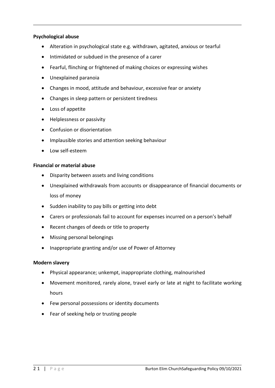# **Psychological abuse**

- Alteration in psychological state e.g. withdrawn, agitated, anxious or tearful
- Intimidated or subdued in the presence of a carer
- Fearful, flinching or frightened of making choices or expressing wishes
- Unexplained paranoia
- Changes in mood, attitude and behaviour, excessive fear or anxiety
- Changes in sleep pattern or persistent tiredness
- Loss of appetite
- Helplessness or passivity
- Confusion or disorientation
- Implausible stories and attention seeking behaviour
- Low self-esteem

## **Financial or material abuse**

- Disparity between assets and living conditions
- Unexplained withdrawals from accounts or disappearance of financial documents or loss of money
- Sudden inability to pay bills or getting into debt
- Carers or professionals fail to account for expenses incurred on a person's behalf
- Recent changes of deeds or title to property
- Missing personal belongings
- Inappropriate granting and/or use of Power of Attorney

# **Modern slavery**

- Physical appearance; unkempt, inappropriate clothing, malnourished
- Movement monitored, rarely alone, travel early or late at night to facilitate working hours
- Few personal possessions or identity documents
- Fear of seeking help or trusting people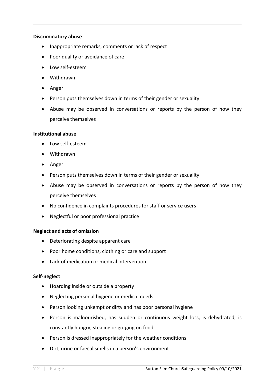#### **Discriminatory abuse**

- Inappropriate remarks, comments or lack of respect
- Poor quality or avoidance of care
- Low self-esteem
- Withdrawn
- Anger
- Person puts themselves down in terms of their gender or sexuality
- Abuse may be observed in conversations or reports by the person of how they perceive themselves

## **Institutional abuse**

- Low self-esteem
- Withdrawn
- Anger
- Person puts themselves down in terms of their gender or sexuality
- Abuse may be observed in conversations or reports by the person of how they perceive themselves
- No confidence in complaints procedures for staff or service users
- Neglectful or poor professional practice

#### **Neglect and acts of omission**

- Deteriorating despite apparent care
- Poor home conditions, clothing or care and support
- Lack of medication or medical intervention

#### **Self-neglect**

- Hoarding inside or outside a property
- Neglecting personal hygiene or medical needs
- Person looking unkempt or dirty and has poor personal hygiene
- Person is malnourished, has sudden or continuous weight loss, is dehydrated, is constantly hungry, stealing or gorging on food
- Person is dressed inappropriately for the weather conditions
- Dirt, urine or faecal smells in a person's environment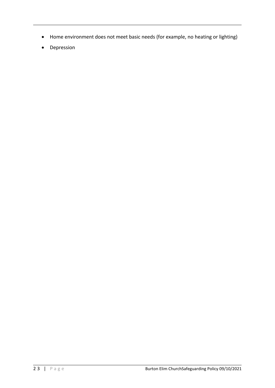- Home environment does not meet basic needs (for example, no heating or lighting)
- Depression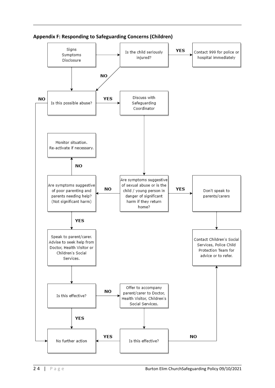

<span id="page-36-0"></span>**Appendix F: Responding to Safeguarding Concerns (Children)**